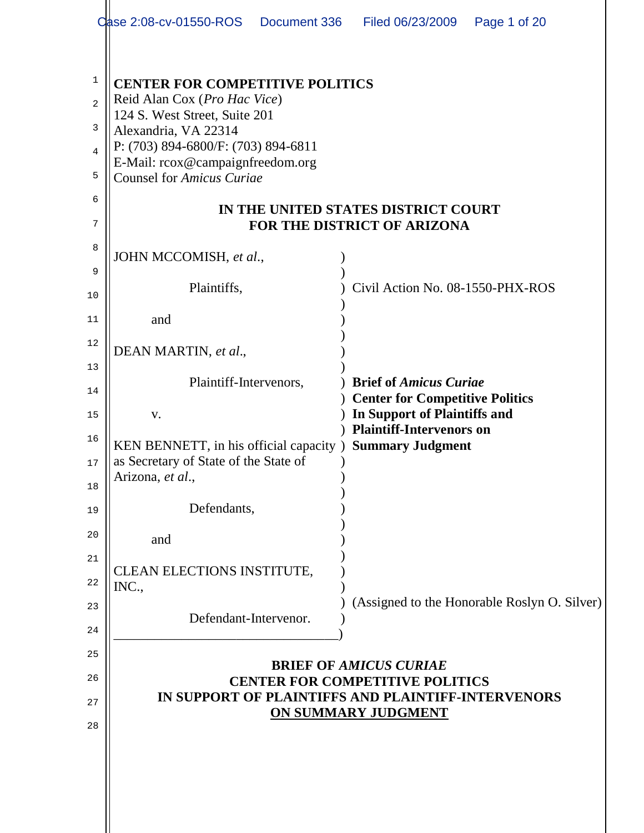|                                              | Case 2:08-cv-01550-ROS  Document 336                                                                                                                                                                                                                                                                                 | Filed 06/23/2009<br>Page 1 of 20                                                           |  |  |  |  |
|----------------------------------------------|----------------------------------------------------------------------------------------------------------------------------------------------------------------------------------------------------------------------------------------------------------------------------------------------------------------------|--------------------------------------------------------------------------------------------|--|--|--|--|
| 1<br>$\overline{2}$<br>3<br>4<br>5<br>6<br>7 | <b>CENTER FOR COMPETITIVE POLITICS</b><br>Reid Alan Cox (Pro Hac Vice)<br>124 S. West Street, Suite 201<br>Alexandria, VA 22314<br>P: (703) 894-6800/F: (703) 894-6811<br>E-Mail: rcox@campaignfreedom.org<br><b>Counsel for Amicus Curiae</b><br>IN THE UNITED STATES DISTRICT COURT<br>FOR THE DISTRICT OF ARIZONA |                                                                                            |  |  |  |  |
| 8                                            | JOHN MCCOMISH, et al.,                                                                                                                                                                                                                                                                                               |                                                                                            |  |  |  |  |
| 9<br>10                                      | Plaintiffs,                                                                                                                                                                                                                                                                                                          | Civil Action No. 08-1550-PHX-ROS                                                           |  |  |  |  |
| 11                                           | and                                                                                                                                                                                                                                                                                                                  |                                                                                            |  |  |  |  |
| 12<br>13                                     | DEAN MARTIN, et al.,                                                                                                                                                                                                                                                                                                 |                                                                                            |  |  |  |  |
| 14                                           | Plaintiff-Intervenors,                                                                                                                                                                                                                                                                                               | <b>Brief of Amicus Curiae</b><br><b>Center for Competitive Politics</b>                    |  |  |  |  |
| 15<br>16<br>17<br>18                         | V.<br>KEN BENNETT, in his official capacity)<br>as Secretary of State of the State of<br>Arizona, et al.,                                                                                                                                                                                                            | In Support of Plaintiffs and<br><b>Plaintiff-Intervenors on</b><br><b>Summary Judgment</b> |  |  |  |  |
| 19                                           | Defendants,                                                                                                                                                                                                                                                                                                          |                                                                                            |  |  |  |  |
| 20                                           | and                                                                                                                                                                                                                                                                                                                  |                                                                                            |  |  |  |  |
| 21<br>22                                     | <b>CLEAN ELECTIONS INSTITUTE,</b><br>INC.,                                                                                                                                                                                                                                                                           |                                                                                            |  |  |  |  |
| 23<br>24                                     | Defendant-Intervenor.                                                                                                                                                                                                                                                                                                | (Assigned to the Honorable Roslyn O. Silver)                                               |  |  |  |  |
| 25                                           |                                                                                                                                                                                                                                                                                                                      |                                                                                            |  |  |  |  |
| 26<br>27                                     | <b>BRIEF OF AMICUS CURIAE</b><br><b>CENTER FOR COMPETITIVE POLITICS</b><br>IN SUPPORT OF PLAINTIFFS AND PLAINTIFF-INTERVENORS<br>ON SUMMARY JUDGMENT                                                                                                                                                                 |                                                                                            |  |  |  |  |
| 28                                           |                                                                                                                                                                                                                                                                                                                      |                                                                                            |  |  |  |  |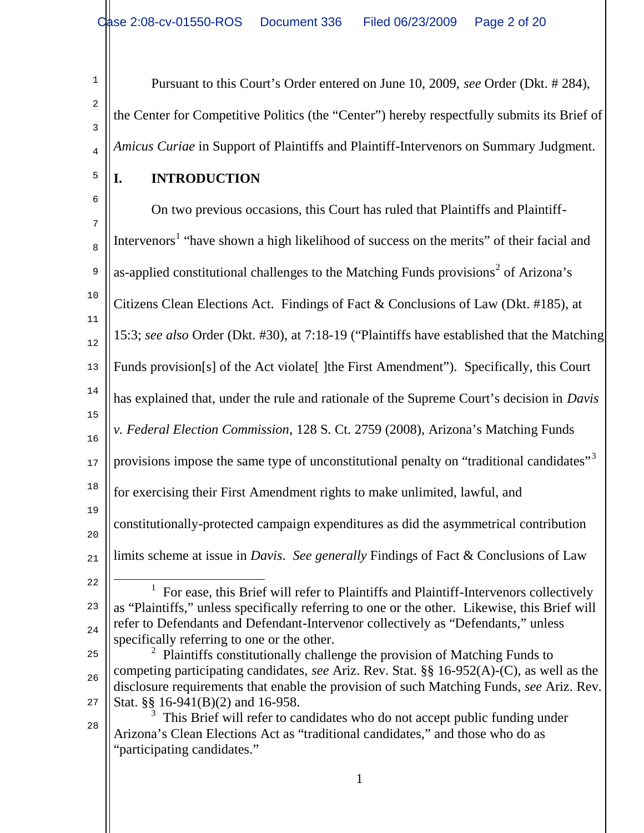Pursuant to this Court's Order entered on June 10, 2009, *see* Order (Dkt. # 284), the Center for Competitive Politics (the "Center") hereby respectfully submits its Brief of *Amicus Curiae* in Support of Plaintiffs and Plaintiff-Intervenors on Summary Judgment.

5

1

2

3

4

## **I. INTRODUCTION**

6 7 8 9 10 11 12 13 14 15 16 17 18 19 20 21 22 23 24 25 26 27 28 On two previous occasions, this Court has ruled that Plaintiffs and Plaintiff-Intervenors<sup>1</sup> "have shown a high likelihood of success on the merits" of their facial and as-applied constitutional challenges to the Matching Funds provisions<sup>2</sup> of Arizona's Citizens Clean Elections Act. Findings of Fact & Conclusions of Law (Dkt. #185), at 15:3; *see also* Order (Dkt. #30), at 7:18-19 ("Plaintiffs have established that the Matching Funds provision[s] of the Act violate<sup>[</sup> ]the First Amendment"). Specifically, this Court has explained that, under the rule and rationale of the Supreme Court's decision in *Davis v. Federal Election Commission*, 128 S. Ct. 2759 (2008), Arizona's Matching Funds provisions impose the same type of unconstitutional penalty on "traditional candidates"<sup>3</sup> for exercising their First Amendment rights to make unlimited, lawful, and constitutionally-protected campaign expenditures as did the asymmetrical contribution limits scheme at issue in *Davis*. *See generally* Findings of Fact & Conclusions of Law ı 1 For ease, this Brief will refer to Plaintiffs and Plaintiff-Intervenors collectively as "Plaintiffs," unless specifically referring to one or the other. Likewise, this Brief will refer to Defendants and Defendant-Intervenor collectively as "Defendants," unless specifically referring to one or the other.  $2$  Plaintiffs constitutionally challenge the provision of Matching Funds to competing participating candidates, *see* Ariz. Rev. Stat. §§ 16-952(A)-(C), as well as the disclosure requirements that enable the provision of such Matching Funds, *see* Ariz. Rev. Stat. §§ 16-941(B)(2) and 16-958. 3 This Brief will refer to candidates who do not accept public funding under Arizona's Clean Elections Act as "traditional candidates," and those who do as "participating candidates."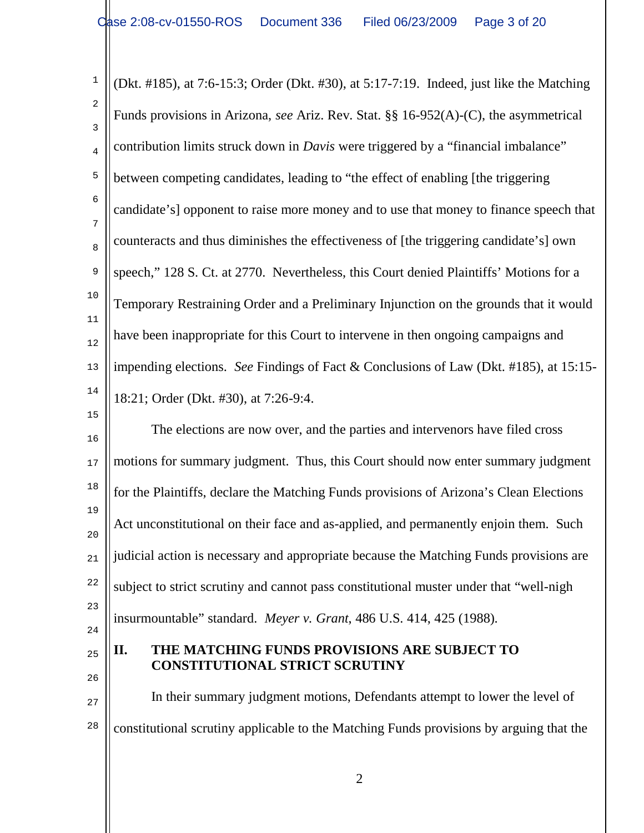1 2 3 4 5 6 7 8 9 10 11 12 13 14 15 (Dkt. #185), at 7:6-15:3; Order (Dkt. #30), at 5:17-7:19. Indeed, just like the Matching Funds provisions in Arizona, *see* Ariz. Rev. Stat. §§ 16-952(A)-(C), the asymmetrical contribution limits struck down in *Davis* were triggered by a "financial imbalance" between competing candidates, leading to "the effect of enabling [the triggering candidate's] opponent to raise more money and to use that money to finance speech that counteracts and thus diminishes the effectiveness of [the triggering candidate's] own speech," 128 S. Ct. at 2770. Nevertheless, this Court denied Plaintiffs' Motions for a Temporary Restraining Order and a Preliminary Injunction on the grounds that it would have been inappropriate for this Court to intervene in then ongoing campaigns and impending elections. *See* Findings of Fact & Conclusions of Law (Dkt. #185), at 15:15- 18:21; Order (Dkt. #30), at 7:26-9:4.

16 17 18 19 20 21 22 23 The elections are now over, and the parties and intervenors have filed cross motions for summary judgment. Thus, this Court should now enter summary judgment for the Plaintiffs, declare the Matching Funds provisions of Arizona's Clean Elections Act unconstitutional on their face and as-applied, and permanently enjoin them. Such judicial action is necessary and appropriate because the Matching Funds provisions are subject to strict scrutiny and cannot pass constitutional muster under that "well-nigh insurmountable" standard. *Meyer v. Grant*, 486 U.S. 414, 425 (1988).

- 24
- 25 26

## **II. THE MATCHING FUNDS PROVISIONS ARE SUBJECT TO CONSTITUTIONAL STRICT SCRUTINY**

27 28 In their summary judgment motions, Defendants attempt to lower the level of constitutional scrutiny applicable to the Matching Funds provisions by arguing that the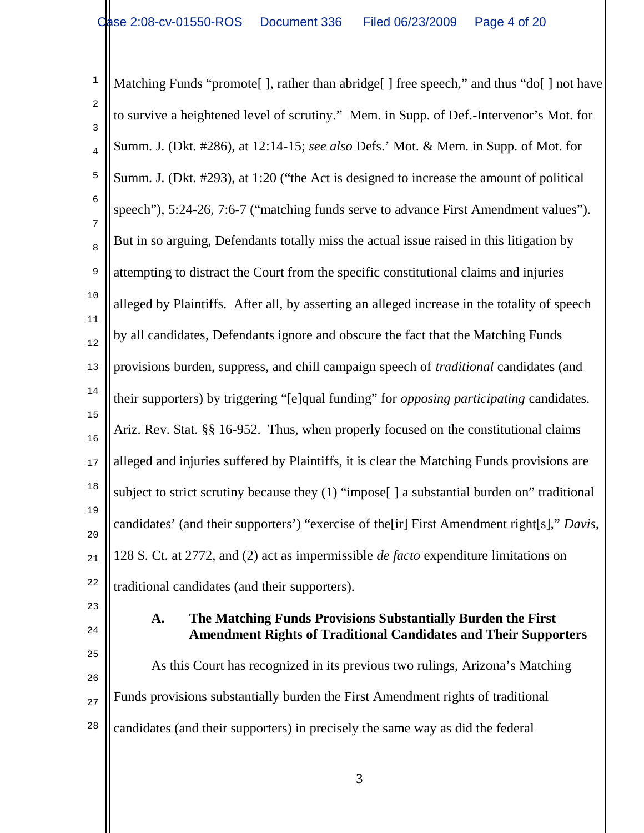1 2 3 4 5 6 7 8 9 10 11 12 13 14 15 16 17 18 19 20 21 22 Matching Funds "promote [], rather than abridge [] free speech," and thus "do [] not have to survive a heightened level of scrutiny." Mem. in Supp. of Def.-Intervenor's Mot. for Summ. J. (Dkt. #286), at 12:14-15; *see also* Defs.' Mot. & Mem. in Supp. of Mot. for Summ. J. (Dkt. #293), at 1:20 ("the Act is designed to increase the amount of political speech"), 5:24-26, 7:6-7 ("matching funds serve to advance First Amendment values"). But in so arguing, Defendants totally miss the actual issue raised in this litigation by attempting to distract the Court from the specific constitutional claims and injuries alleged by Plaintiffs. After all, by asserting an alleged increase in the totality of speech by all candidates, Defendants ignore and obscure the fact that the Matching Funds provisions burden, suppress, and chill campaign speech of *traditional* candidates (and their supporters) by triggering "[e]qual funding" for *opposing participating* candidates. Ariz. Rev. Stat. §§ 16-952. Thus, when properly focused on the constitutional claims alleged and injuries suffered by Plaintiffs, it is clear the Matching Funds provisions are subject to strict scrutiny because they (1) "impose<sup>[]</sup> a substantial burden on" traditional candidates' (and their supporters') "exercise of the[ir] First Amendment right[s]," *Davis*, 128 S. Ct. at 2772, and (2) act as impermissible *de facto* expenditure limitations on traditional candidates (and their supporters).

23 24

25

#### **A. The Matching Funds Provisions Substantially Burden the First Amendment Rights of Traditional Candidates and Their Supporters**

26 27 28 As this Court has recognized in its previous two rulings, Arizona's Matching Funds provisions substantially burden the First Amendment rights of traditional candidates (and their supporters) in precisely the same way as did the federal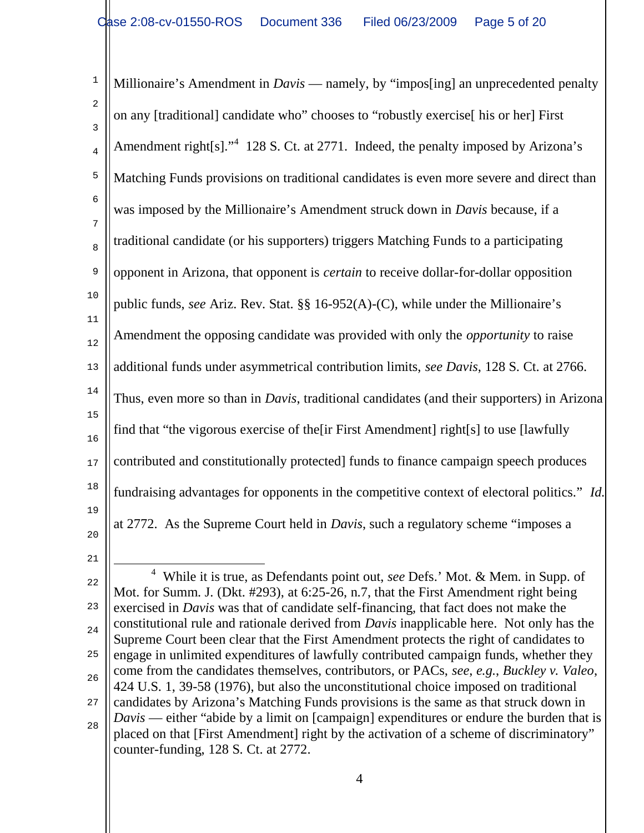1 2 3 4 5 6 7 8 9 10 11 12 13 14 15 16 17 18 19 20 Millionaire's Amendment in *Davis* — namely, by "impos[ing] an unprecedented penalty on any [traditional] candidate who" chooses to "robustly exercise[ his or her] First Amendment right $[s]$ ."<sup>4</sup> 128 S. Ct. at 2771. Indeed, the penalty imposed by Arizona's Matching Funds provisions on traditional candidates is even more severe and direct than was imposed by the Millionaire's Amendment struck down in *Davis* because, if a traditional candidate (or his supporters) triggers Matching Funds to a participating opponent in Arizona, that opponent is *certain* to receive dollar-for-dollar opposition public funds, *see* Ariz. Rev. Stat. §§ 16-952(A)-(C), while under the Millionaire's Amendment the opposing candidate was provided with only the *opportunity* to raise additional funds under asymmetrical contribution limits, *see Davis*, 128 S. Ct. at 2766. Thus, even more so than in *Davis*, traditional candidates (and their supporters) in Arizona find that "the vigorous exercise of the[ir First Amendment] right[s] to use [lawfully contributed and constitutionally protected] funds to finance campaign speech produces fundraising advantages for opponents in the competitive context of electoral politics." *Id*. at 2772. As the Supreme Court held in *Davis*, such a regulatory scheme "imposes a

<sup>21</sup>

<sup>22</sup> 23 24 25 26 27 28 ÷ 4 While it is true, as Defendants point out, *see* Defs.' Mot. & Mem. in Supp. of Mot. for Summ. J. (Dkt. #293), at 6:25-26, n.7, that the First Amendment right being exercised in *Davis* was that of candidate self-financing, that fact does not make the constitutional rule and rationale derived from *Davis* inapplicable here. Not only has the Supreme Court been clear that the First Amendment protects the right of candidates to engage in unlimited expenditures of lawfully contributed campaign funds, whether they come from the candidates themselves, contributors, or PACs, *see*, *e.g.*, *Buckley v. Valeo*, 424 U.S. 1, 39-58 (1976), but also the unconstitutional choice imposed on traditional candidates by Arizona's Matching Funds provisions is the same as that struck down in *Davis* — either "abide by a limit on [campaign] expenditures or endure the burden that is placed on that [First Amendment] right by the activation of a scheme of discriminatory" counter-funding, 128 S. Ct. at 2772.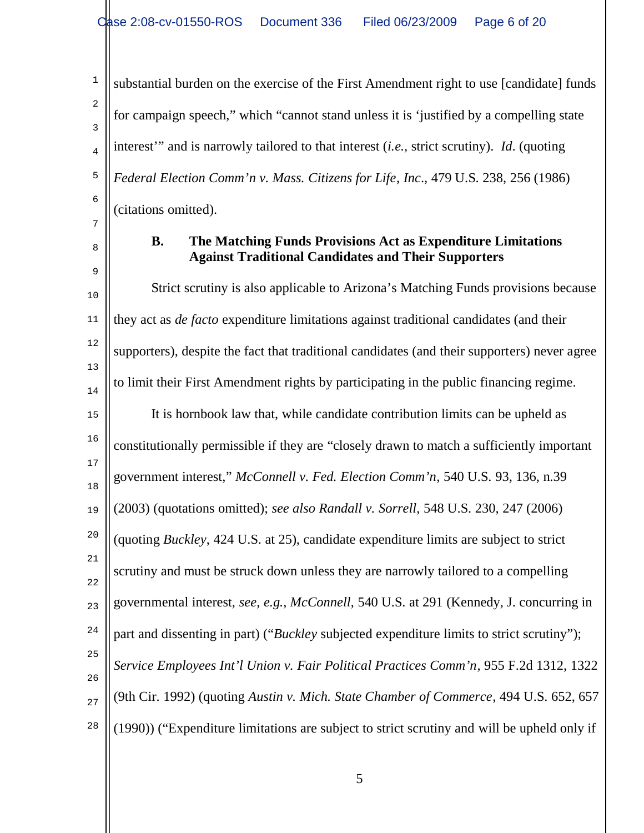substantial burden on the exercise of the First Amendment right to use [candidate] funds for campaign speech," which "cannot stand unless it is 'justified by a compelling state interest'" and is narrowly tailored to that interest (*i.e.*, strict scrutiny). *Id*. (quoting *Federal Election Comm'n v. Mass. Citizens for Life*, *Inc*., 479 U.S. 238, 256 (1986) (citations omitted).

8

9

1

2

3

4

5

6

7

### **B. The Matching Funds Provisions Act as Expenditure Limitations Against Traditional Candidates and Their Supporters**

10 11 12 13 14 15 16 17 18 19 20 21 22 23 24 25 26 27 28 Strict scrutiny is also applicable to Arizona's Matching Funds provisions because they act as *de facto* expenditure limitations against traditional candidates (and their supporters), despite the fact that traditional candidates (and their supporters) never agree to limit their First Amendment rights by participating in the public financing regime. It is hornbook law that, while candidate contribution limits can be upheld as constitutionally permissible if they are "closely drawn to match a sufficiently important government interest," *McConnell v. Fed. Election Comm'n*, 540 U.S. 93, 136, n.39 (2003) (quotations omitted); *see also Randall v. Sorrell*, 548 U.S. 230, 247 (2006) (quoting *Buckley*, 424 U.S. at 25), candidate expenditure limits are subject to strict scrutiny and must be struck down unless they are narrowly tailored to a compelling governmental interest, *see*, *e.g.*, *McConnell*, 540 U.S. at 291 (Kennedy, J. concurring in part and dissenting in part) ("*Buckley* subjected expenditure limits to strict scrutiny"); *Service Employees Int'l Union v. Fair Political Practices Comm'n*, 955 F.2d 1312, 1322 (9th Cir. 1992) (quoting *Austin v. Mich. State Chamber of Commerce*, 494 U.S. 652, 657 (1990)) ("Expenditure limitations are subject to strict scrutiny and will be upheld only if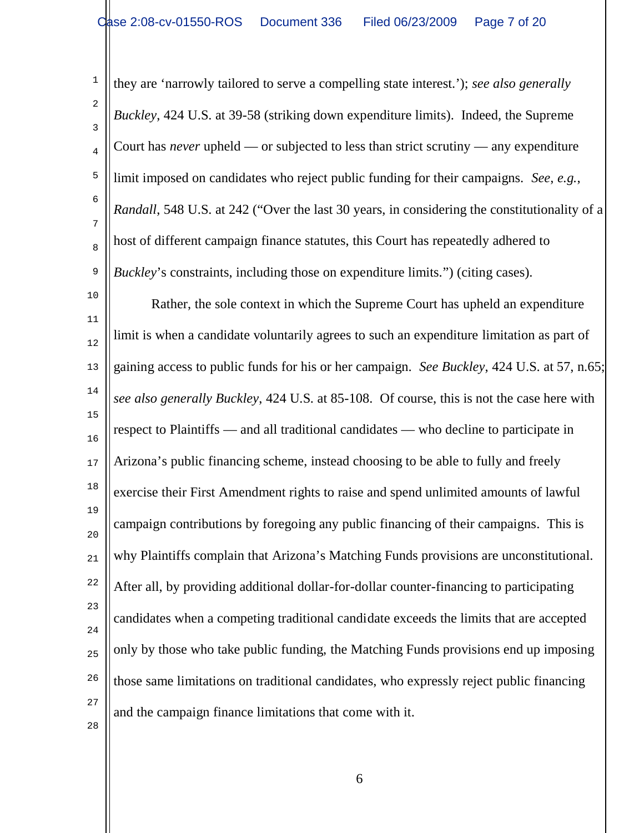1 2 3 4 5 6 7 8 9 they are 'narrowly tailored to serve a compelling state interest.'); *see also generally Buckley*, 424 U.S. at 39-58 (striking down expenditure limits). Indeed, the Supreme Court has *never* upheld — or subjected to less than strict scrutiny — any expenditure limit imposed on candidates who reject public funding for their campaigns. *See*, *e.g.*, *Randall*, 548 U.S. at 242 ("Over the last 30 years, in considering the constitutionality of a host of different campaign finance statutes, this Court has repeatedly adhered to *Buckley*'s constraints, including those on expenditure limits.") (citing cases).

10 11 12 13 14 15 16 17 18 19 20 21 22 23 24 25 26 27 28 Rather, the sole context in which the Supreme Court has upheld an expenditure limit is when a candidate voluntarily agrees to such an expenditure limitation as part of gaining access to public funds for his or her campaign. *See Buckley*, 424 U.S. at 57, n.65; *see also generally Buckley*, 424 U.S. at 85-108. Of course, this is not the case here with respect to Plaintiffs — and all traditional candidates — who decline to participate in Arizona's public financing scheme, instead choosing to be able to fully and freely exercise their First Amendment rights to raise and spend unlimited amounts of lawful campaign contributions by foregoing any public financing of their campaigns. This is why Plaintiffs complain that Arizona's Matching Funds provisions are unconstitutional. After all, by providing additional dollar-for-dollar counter-financing to participating candidates when a competing traditional candidate exceeds the limits that are accepted only by those who take public funding, the Matching Funds provisions end up imposing those same limitations on traditional candidates, who expressly reject public financing and the campaign finance limitations that come with it.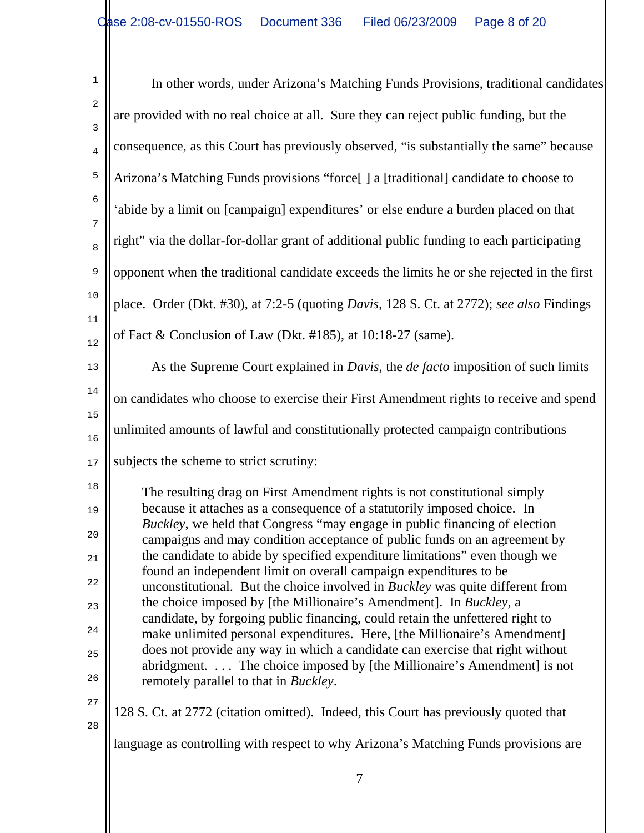| $\mathbf{1}$        | In other words, under Arizona's Matching Funds Provisions, traditional candidates                                                                                                                                                                                                                                                                                                               |  |  |  |
|---------------------|-------------------------------------------------------------------------------------------------------------------------------------------------------------------------------------------------------------------------------------------------------------------------------------------------------------------------------------------------------------------------------------------------|--|--|--|
| $\overline{a}$<br>3 | are provided with no real choice at all. Sure they can reject public funding, but the                                                                                                                                                                                                                                                                                                           |  |  |  |
| $\bf 4$             | consequence, as this Court has previously observed, "is substantially the same" because                                                                                                                                                                                                                                                                                                         |  |  |  |
| 5                   | Arizona's Matching Funds provisions "force[] a [traditional] candidate to choose to                                                                                                                                                                                                                                                                                                             |  |  |  |
| $\sqrt{6}$<br>7     | 'abide by a limit on [campaign] expenditures' or else endure a burden placed on that                                                                                                                                                                                                                                                                                                            |  |  |  |
| $\,8\,$             | right" via the dollar-for-dollar grant of additional public funding to each participating                                                                                                                                                                                                                                                                                                       |  |  |  |
| $\mathsf 9$         | opponent when the traditional candidate exceeds the limits he or she rejected in the first                                                                                                                                                                                                                                                                                                      |  |  |  |
| 10                  | place. Order (Dkt. #30), at 7:2-5 (quoting <i>Davis</i> , 128 S. Ct. at 2772); see also Findings                                                                                                                                                                                                                                                                                                |  |  |  |
| 11<br>12            | of Fact & Conclusion of Law (Dkt. #185), at 10:18-27 (same).                                                                                                                                                                                                                                                                                                                                    |  |  |  |
| 13                  | As the Supreme Court explained in <i>Davis</i> , the <i>de facto</i> imposition of such limits                                                                                                                                                                                                                                                                                                  |  |  |  |
| 14                  | on candidates who choose to exercise their First Amendment rights to receive and spend                                                                                                                                                                                                                                                                                                          |  |  |  |
| 15<br>16            | unlimited amounts of lawful and constitutionally protected campaign contributions                                                                                                                                                                                                                                                                                                               |  |  |  |
| 17                  | subjects the scheme to strict scrutiny:                                                                                                                                                                                                                                                                                                                                                         |  |  |  |
| $1\,8$<br>19        | The resulting drag on First Amendment rights is not constitutional simply<br>because it attaches as a consequence of a statutorily imposed choice. In<br>Buckley, we held that Congress "may engage in public financing of election<br>campaigns and may condition acceptance of public funds on an agreement by<br>the candidate to abide by specified expenditure limitations" even though we |  |  |  |
| $20$<br>21          |                                                                                                                                                                                                                                                                                                                                                                                                 |  |  |  |
| 22                  | found an independent limit on overall campaign expenditures to be<br>unconstitutional. But the choice involved in <i>Buckley</i> was quite different from                                                                                                                                                                                                                                       |  |  |  |
| 23                  | the choice imposed by [the Millionaire's Amendment]. In Buckley, a<br>candidate, by forgoing public financing, could retain the unfettered right to                                                                                                                                                                                                                                             |  |  |  |
| 24                  | make unlimited personal expenditures. Here, [the Millionaire's Amendment]<br>does not provide any way in which a candidate can exercise that right without                                                                                                                                                                                                                                      |  |  |  |
| 25<br>26            | abridgment.  The choice imposed by [the Millionaire's Amendment] is not<br>remotely parallel to that in <i>Buckley</i> .                                                                                                                                                                                                                                                                        |  |  |  |
| 27<br>28            | 128 S. Ct. at 2772 (citation omitted). Indeed, this Court has previously quoted that                                                                                                                                                                                                                                                                                                            |  |  |  |
|                     | language as controlling with respect to why Arizona's Matching Funds provisions are                                                                                                                                                                                                                                                                                                             |  |  |  |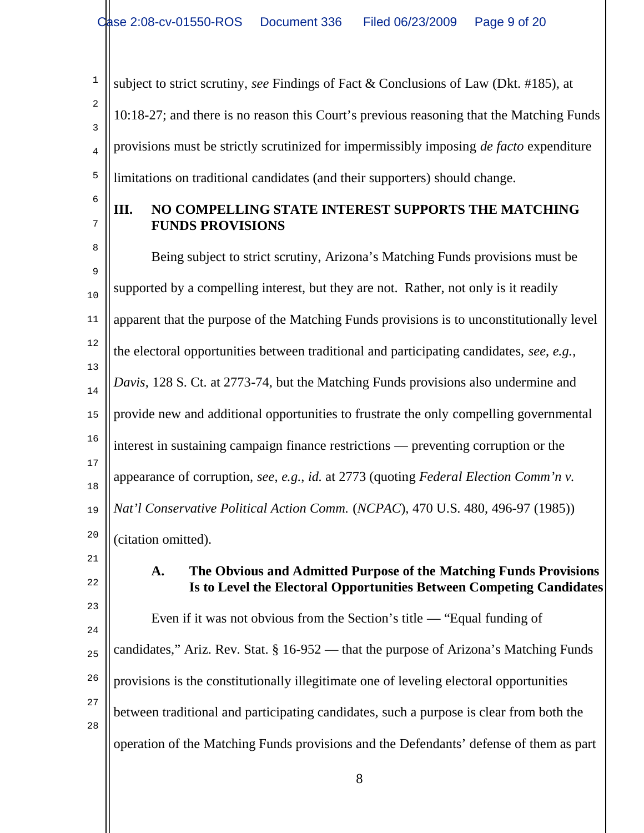1 2 3 4 5 subject to strict scrutiny, *see* Findings of Fact & Conclusions of Law (Dkt. #185), at 10:18-27; and there is no reason this Court's previous reasoning that the Matching Funds provisions must be strictly scrutinized for impermissibly imposing *de facto* expenditure limitations on traditional candidates (and their supporters) should change.

6 7

## **III. NO COMPELLING STATE INTEREST SUPPORTS THE MATCHING FUNDS PROVISIONS**

8 9 10 11 12 13 14 15 16 17 18 19 20 Being subject to strict scrutiny, Arizona's Matching Funds provisions must be supported by a compelling interest, but they are not. Rather, not only is it readily apparent that the purpose of the Matching Funds provisions is to unconstitutionally level the electoral opportunities between traditional and participating candidates, *see*, *e.g.*, *Davis*, 128 S. Ct. at 2773-74, but the Matching Funds provisions also undermine and provide new and additional opportunities to frustrate the only compelling governmental interest in sustaining campaign finance restrictions — preventing corruption or the appearance of corruption, *see*, *e.g.*, *id.* at 2773 (quoting *Federal Election Comm'n v. Nat'l Conservative Political Action Comm.* (*NCPAC*), 470 U.S. 480, 496-97 (1985)) (citation omitted).

21 22

### **A. The Obvious and Admitted Purpose of the Matching Funds Provisions Is to Level the Electoral Opportunities Between Competing Candidates**

23 24 25 26 27 28 Even if it was not obvious from the Section's title — "Equal funding of candidates," Ariz. Rev. Stat. § 16-952 — that the purpose of Arizona's Matching Funds provisions is the constitutionally illegitimate one of leveling electoral opportunities between traditional and participating candidates, such a purpose is clear from both the operation of the Matching Funds provisions and the Defendants' defense of them as part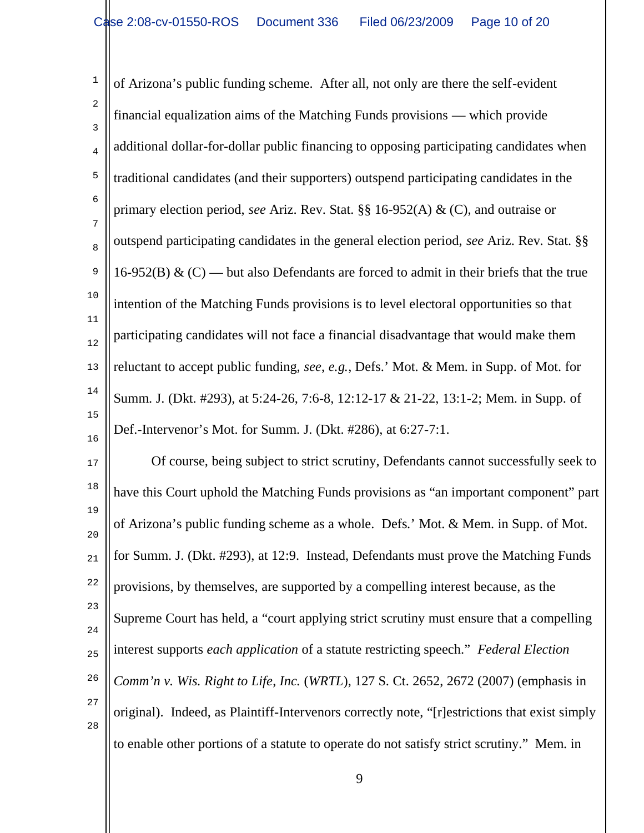1 2 3 4 5 6 7 8 9 10 11 12 13 14 15 16 of Arizona's public funding scheme. After all, not only are there the self-evident financial equalization aims of the Matching Funds provisions — which provide additional dollar-for-dollar public financing to opposing participating candidates when traditional candidates (and their supporters) outspend participating candidates in the primary election period, *see* Ariz. Rev. Stat. §§ 16-952(A) & (C), and outraise or outspend participating candidates in the general election period, *see* Ariz. Rev. Stat. §§ 16-952(B)  $\&$  (C) — but also Defendants are forced to admit in their briefs that the true intention of the Matching Funds provisions is to level electoral opportunities so that participating candidates will not face a financial disadvantage that would make them reluctant to accept public funding, *see*, *e.g.*, Defs.' Mot. & Mem. in Supp. of Mot. for Summ. J. (Dkt. #293), at 5:24-26, 7:6-8, 12:12-17 & 21-22, 13:1-2; Mem. in Supp. of Def.-Intervenor's Mot. for Summ. J. (Dkt. #286), at 6:27-7:1.

17 18 19 20 21 22 23 24 25 26 27 28 Of course, being subject to strict scrutiny, Defendants cannot successfully seek to have this Court uphold the Matching Funds provisions as "an important component" part of Arizona's public funding scheme as a whole. Defs.' Mot. & Mem. in Supp. of Mot. for Summ. J. (Dkt. #293), at 12:9. Instead, Defendants must prove the Matching Funds provisions, by themselves, are supported by a compelling interest because, as the Supreme Court has held, a "court applying strict scrutiny must ensure that a compelling interest supports *each application* of a statute restricting speech." *Federal Election Comm'n v. Wis. Right to Life*, *Inc.* (*WRTL*), 127 S. Ct. 2652, 2672 (2007) (emphasis in original). Indeed, as Plaintiff-Intervenors correctly note, "[r]estrictions that exist simply to enable other portions of a statute to operate do not satisfy strict scrutiny." Mem. in

9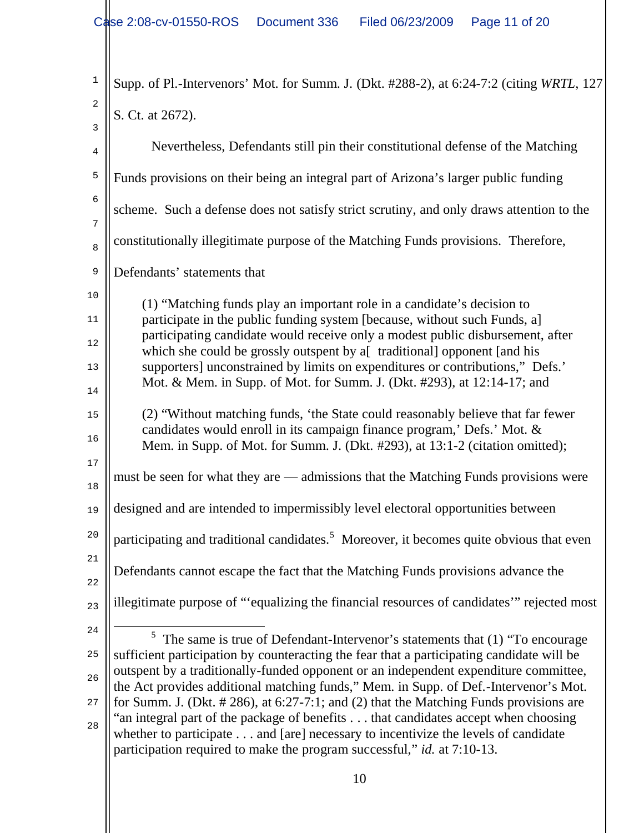| $\mathbf 1$                | Supp. of Pl.-Intervenors' Mot. for Summ. J. (Dkt. #288-2), at 6:24-7:2 (citing WRTL, 127                                                                                                                                                                                                                                                                                                                                                                                                                                                                                                                                                                                                                          |  |  |
|----------------------------|-------------------------------------------------------------------------------------------------------------------------------------------------------------------------------------------------------------------------------------------------------------------------------------------------------------------------------------------------------------------------------------------------------------------------------------------------------------------------------------------------------------------------------------------------------------------------------------------------------------------------------------------------------------------------------------------------------------------|--|--|
| 2<br>3                     | S. Ct. at 2672).                                                                                                                                                                                                                                                                                                                                                                                                                                                                                                                                                                                                                                                                                                  |  |  |
| 4                          | Nevertheless, Defendants still pin their constitutional defense of the Matching                                                                                                                                                                                                                                                                                                                                                                                                                                                                                                                                                                                                                                   |  |  |
| $\mathsf S$                | Funds provisions on their being an integral part of Arizona's larger public funding                                                                                                                                                                                                                                                                                                                                                                                                                                                                                                                                                                                                                               |  |  |
| $\sqrt{6}$                 | scheme. Such a defense does not satisfy strict scrutiny, and only draws attention to the                                                                                                                                                                                                                                                                                                                                                                                                                                                                                                                                                                                                                          |  |  |
| 7<br>8                     | constitutionally illegitimate purpose of the Matching Funds provisions. Therefore,                                                                                                                                                                                                                                                                                                                                                                                                                                                                                                                                                                                                                                |  |  |
| $\mathsf 9$                | Defendants' statements that                                                                                                                                                                                                                                                                                                                                                                                                                                                                                                                                                                                                                                                                                       |  |  |
| 10<br>11<br>12             | (1) "Matching funds play an important role in a candidate's decision to<br>participate in the public funding system [because, without such Funds, a]<br>participating candidate would receive only a modest public disbursement, after<br>which she could be grossly outspent by a[ traditional] opponent [and his                                                                                                                                                                                                                                                                                                                                                                                                |  |  |
| 13<br>14                   | supporters] unconstrained by limits on expenditures or contributions," Defs.'<br>Mot. & Mem. in Supp. of Mot. for Summ. J. (Dkt. #293), at 12:14-17; and                                                                                                                                                                                                                                                                                                                                                                                                                                                                                                                                                          |  |  |
| 15<br>16                   | (2) "Without matching funds, 'the State could reasonably believe that far fewer<br>candidates would enroll in its campaign finance program,' Defs.' Mot. &<br>Mem. in Supp. of Mot. for Summ. J. (Dkt. #293), at 13:1-2 (citation omitted);                                                                                                                                                                                                                                                                                                                                                                                                                                                                       |  |  |
| 17<br>18                   | must be seen for what they are — admissions that the Matching Funds provisions were                                                                                                                                                                                                                                                                                                                                                                                                                                                                                                                                                                                                                               |  |  |
| 19                         | designed and are intended to impermissibly level electoral opportunities between                                                                                                                                                                                                                                                                                                                                                                                                                                                                                                                                                                                                                                  |  |  |
| 20                         | participating and traditional candidates. <sup>5</sup> Moreover, it becomes quite obvious that even                                                                                                                                                                                                                                                                                                                                                                                                                                                                                                                                                                                                               |  |  |
| 21<br>22                   | Defendants cannot escape the fact that the Matching Funds provisions advance the                                                                                                                                                                                                                                                                                                                                                                                                                                                                                                                                                                                                                                  |  |  |
| 23                         | illegitimate purpose of "equalizing the financial resources of candidates" rejected most                                                                                                                                                                                                                                                                                                                                                                                                                                                                                                                                                                                                                          |  |  |
| 24<br>25<br>26<br>27<br>28 | The same is true of Defendant-Intervenor's statements that (1) "To encourage<br>5<br>sufficient participation by counteracting the fear that a participating candidate will be<br>outspent by a traditionally-funded opponent or an independent expenditure committee,<br>the Act provides additional matching funds," Mem. in Supp. of Def.-Intervenor's Mot.<br>for Summ. J. (Dkt. $\# 286$ ), at 6:27-7:1; and (2) that the Matching Funds provisions are<br>"an integral part of the package of benefits that candidates accept when choosing<br>whether to participate and [are] necessary to incentivize the levels of candidate<br>participation required to make the program successful," id. at 7:10-13. |  |  |
|                            |                                                                                                                                                                                                                                                                                                                                                                                                                                                                                                                                                                                                                                                                                                                   |  |  |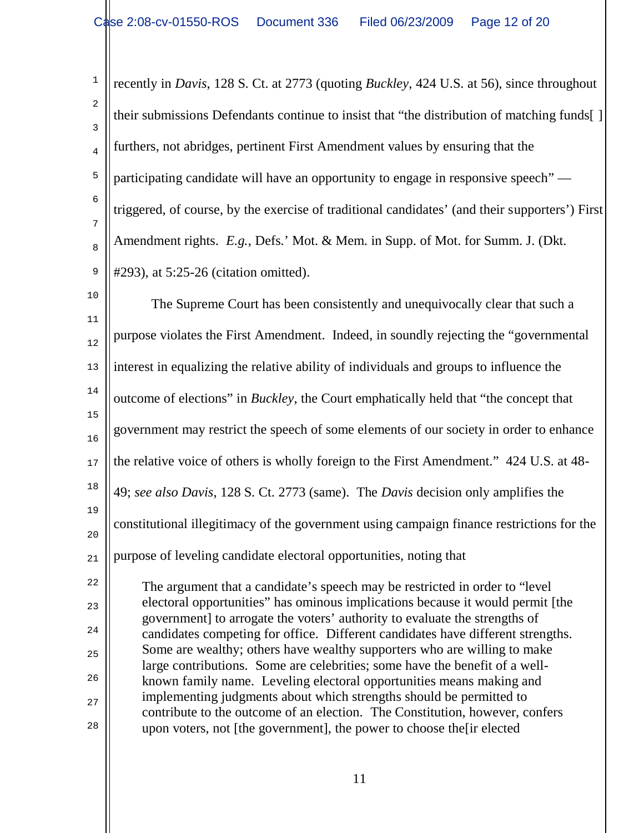1 2 3 4 5 6 7 8 9 recently in *Davis*, 128 S. Ct. at 2773 (quoting *Buckley*, 424 U.S. at 56), since throughout their submissions Defendants continue to insist that "the distribution of matching funds[ ] furthers, not abridges, pertinent First Amendment values by ensuring that the participating candidate will have an opportunity to engage in responsive speech" triggered, of course, by the exercise of traditional candidates' (and their supporters') First Amendment rights. *E.g.*, Defs.' Mot. & Mem. in Supp. of Mot. for Summ. J. (Dkt. #293), at 5:25-26 (citation omitted).

10 11 12 13 14 15 16 17 18 19 20 21 22 23 24 25 26 27 28 The Supreme Court has been consistently and unequivocally clear that such a purpose violates the First Amendment. Indeed, in soundly rejecting the "governmental interest in equalizing the relative ability of individuals and groups to influence the outcome of elections" in *Buckley*, the Court emphatically held that "the concept that government may restrict the speech of some elements of our society in order to enhance the relative voice of others is wholly foreign to the First Amendment." 424 U.S. at 48- 49; *see also Davis*, 128 S. Ct. 2773 (same). The *Davis* decision only amplifies the constitutional illegitimacy of the government using campaign finance restrictions for the purpose of leveling candidate electoral opportunities, noting that The argument that a candidate's speech may be restricted in order to "level electoral opportunities" has ominous implications because it would permit [the government] to arrogate the voters' authority to evaluate the strengths of candidates competing for office. Different candidates have different strengths. Some are wealthy; others have wealthy supporters who are willing to make large contributions. Some are celebrities; some have the benefit of a wellknown family name. Leveling electoral opportunities means making and implementing judgments about which strengths should be permitted to contribute to the outcome of an election. The Constitution, however, confers

upon voters, not [the government], the power to choose the[ir elected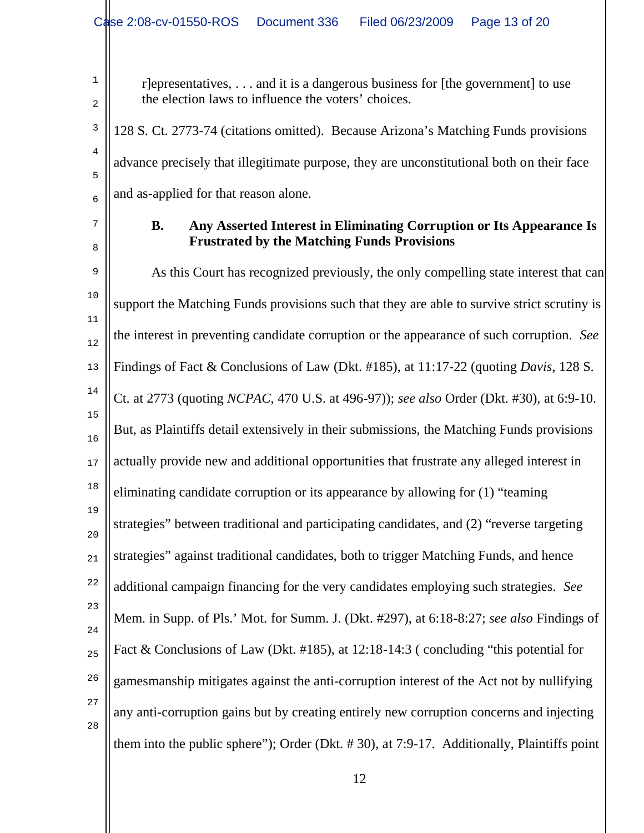r]epresentatives, . . . and it is a dangerous business for [the government] to use the election laws to influence the voters' choices.

3 4 5 6 128 S. Ct. 2773-74 (citations omitted). Because Arizona's Matching Funds provisions advance precisely that illegitimate purpose, they are unconstitutional both on their face and as-applied for that reason alone.

# 7

8

1

2

#### **B. Any Asserted Interest in Eliminating Corruption or Its Appearance Is Frustrated by the Matching Funds Provisions**

9 10 11 12 13 14 15 16 17 18 19 20 21 22 23 24 25 26 27 28 As this Court has recognized previously, the only compelling state interest that can support the Matching Funds provisions such that they are able to survive strict scrutiny is the interest in preventing candidate corruption or the appearance of such corruption. *See* Findings of Fact & Conclusions of Law (Dkt. #185), at 11:17-22 (quoting *Davis*, 128 S. Ct. at 2773 (quoting *NCPAC*, 470 U.S. at 496-97)); *see also* Order (Dkt. #30), at 6:9-10. But, as Plaintiffs detail extensively in their submissions, the Matching Funds provisions actually provide new and additional opportunities that frustrate any alleged interest in eliminating candidate corruption or its appearance by allowing for (1) "teaming strategies" between traditional and participating candidates, and (2) "reverse targeting strategies" against traditional candidates, both to trigger Matching Funds, and hence additional campaign financing for the very candidates employing such strategies. *See* Mem. in Supp. of Pls.' Mot. for Summ. J. (Dkt. #297), at 6:18-8:27; *see also* Findings of Fact & Conclusions of Law (Dkt. #185), at 12:18-14:3 ( concluding "this potential for gamesmanship mitigates against the anti-corruption interest of the Act not by nullifying any anti-corruption gains but by creating entirely new corruption concerns and injecting them into the public sphere"); Order (Dkt. # 30), at 7:9-17. Additionally, Plaintiffs point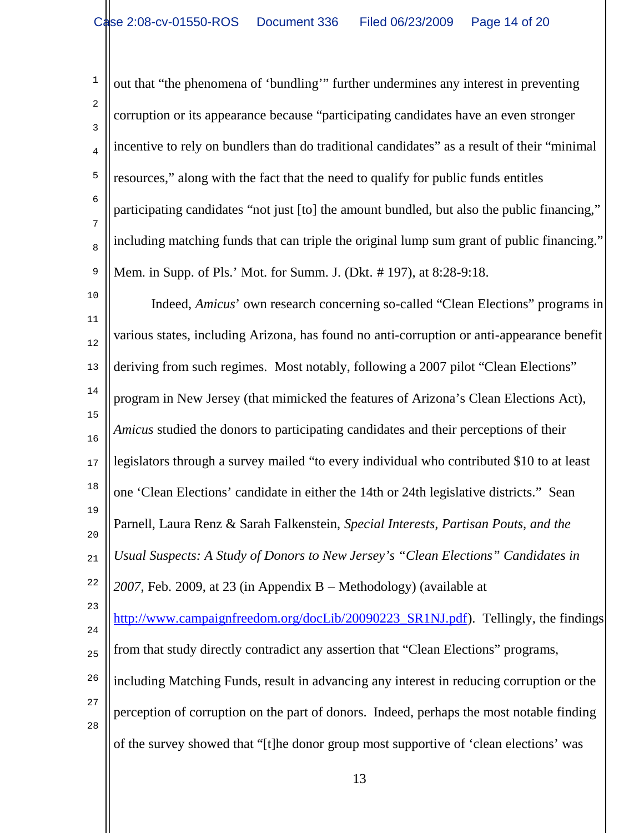1 2 3 4 5 6 7 8 9 10 11 12 13 14 15 16 17 18 19 out that "the phenomena of 'bundling'" further undermines any interest in preventing corruption or its appearance because "participating candidates have an even stronger incentive to rely on bundlers than do traditional candidates" as a result of their "minimal resources," along with the fact that the need to qualify for public funds entitles participating candidates "not just [to] the amount bundled, but also the public financing," including matching funds that can triple the original lump sum grant of public financing." Mem. in Supp. of Pls.' Mot. for Summ. J. (Dkt. # 197), at 8:28-9:18. Indeed, *Amicus*' own research concerning so-called "Clean Elections" programs in various states, including Arizona, has found no anti-corruption or anti-appearance benefit deriving from such regimes. Most notably, following a 2007 pilot "Clean Elections" program in New Jersey (that mimicked the features of Arizona's Clean Elections Act), *Amicus* studied the donors to participating candidates and their perceptions of their legislators through a survey mailed "to every individual who contributed \$10 to at least one 'Clean Elections' candidate in either the 14th or 24th legislative districts." Sean Parnell, Laura Renz & Sarah Falkenstein, *Special Interests, Partisan Pouts, and the* 

21 *Usual Suspects: A Study of Donors to New Jersey's "Clean Elections" Candidates in* 

22 *2007*, Feb. 2009, at 23 (in Appendix B – Methodology) (available at

20

23

24 25 26 http://www.campaignfreedom.org/docLib/20090223\_SR1NJ.pdf). Tellingly, the findings from that study directly contradict any assertion that "Clean Elections" programs, including Matching Funds, result in advancing any interest in reducing corruption or the

27 28 perception of corruption on the part of donors. Indeed, perhaps the most notable finding of the survey showed that "[t]he donor group most supportive of 'clean elections' was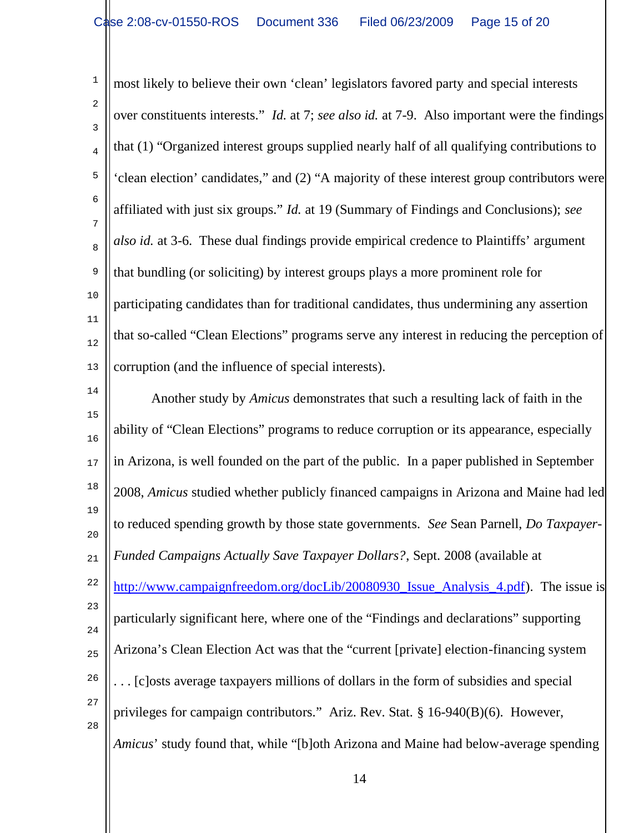1 2 3 4 5 6 7 8 9 10 11 12 13 most likely to believe their own 'clean' legislators favored party and special interests over constituents interests." *Id.* at 7; *see also id.* at 7-9. Also important were the findings that (1) "Organized interest groups supplied nearly half of all qualifying contributions to 'clean election' candidates," and (2) "A majority of these interest group contributors were affiliated with just six groups." *Id.* at 19 (Summary of Findings and Conclusions); *see also id.* at 3-6. These dual findings provide empirical credence to Plaintiffs' argument that bundling (or soliciting) by interest groups plays a more prominent role for participating candidates than for traditional candidates, thus undermining any assertion that so-called "Clean Elections" programs serve any interest in reducing the perception of corruption (and the influence of special interests).

14 15 16 17 18 19 20 21 22 23 24 25 26 27 28 Another study by *Amicus* demonstrates that such a resulting lack of faith in the ability of "Clean Elections" programs to reduce corruption or its appearance, especially in Arizona, is well founded on the part of the public. In a paper published in September 2008, *Amicus* studied whether publicly financed campaigns in Arizona and Maine had led to reduced spending growth by those state governments. *See* Sean Parnell, *Do Taxpayer-Funded Campaigns Actually Save Taxpayer Dollars?*, Sept. 2008 (available at http://www.campaignfreedom.org/docLib/20080930\_Issue\_Analysis\_4.pdf). The issue is particularly significant here, where one of the "Findings and declarations" supporting Arizona's Clean Election Act was that the "current [private] election-financing system . . . [c]osts average taxpayers millions of dollars in the form of subsidies and special privileges for campaign contributors." Ariz. Rev. Stat. § 16-940(B)(6). However, *Amicus*' study found that, while "[b]oth Arizona and Maine had below-average spending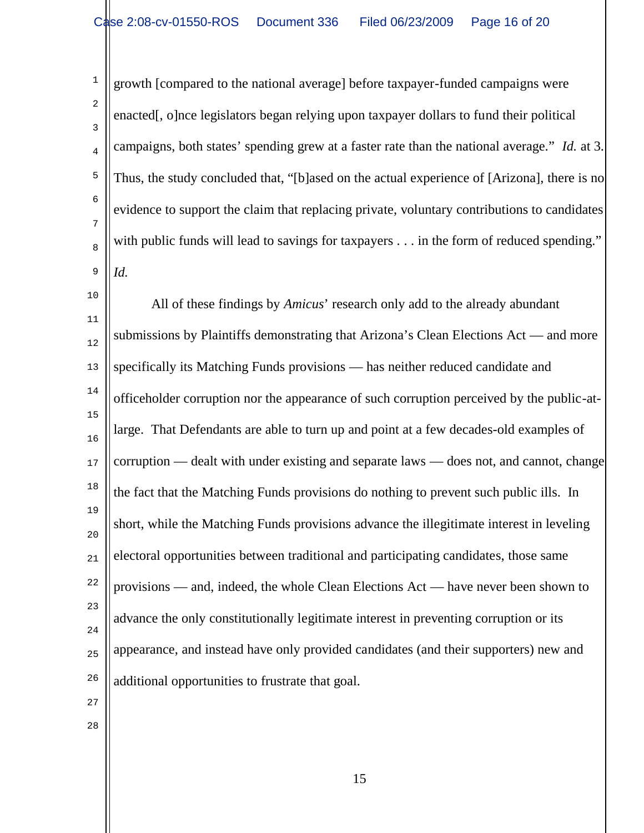1 2 3 4 5 6 7 8 9 growth [compared to the national average] before taxpayer-funded campaigns were enacted[, o]nce legislators began relying upon taxpayer dollars to fund their political campaigns, both states' spending grew at a faster rate than the national average." *Id.* at 3. Thus, the study concluded that, "[b]ased on the actual experience of [Arizona], there is no evidence to support the claim that replacing private, voluntary contributions to candidates with public funds will lead to savings for taxpayers . . . in the form of reduced spending." *Id.*

10 11 12 13 14 15 16 17 18 19 20 21 22 23 24 25 26 All of these findings by *Amicus*' research only add to the already abundant submissions by Plaintiffs demonstrating that Arizona's Clean Elections Act — and more specifically its Matching Funds provisions — has neither reduced candidate and officeholder corruption nor the appearance of such corruption perceived by the public-atlarge. That Defendants are able to turn up and point at a few decades-old examples of corruption — dealt with under existing and separate laws — does not, and cannot, change the fact that the Matching Funds provisions do nothing to prevent such public ills. In short, while the Matching Funds provisions advance the illegitimate interest in leveling electoral opportunities between traditional and participating candidates, those same provisions — and, indeed, the whole Clean Elections Act — have never been shown to advance the only constitutionally legitimate interest in preventing corruption or its appearance, and instead have only provided candidates (and their supporters) new and additional opportunities to frustrate that goal.

27 28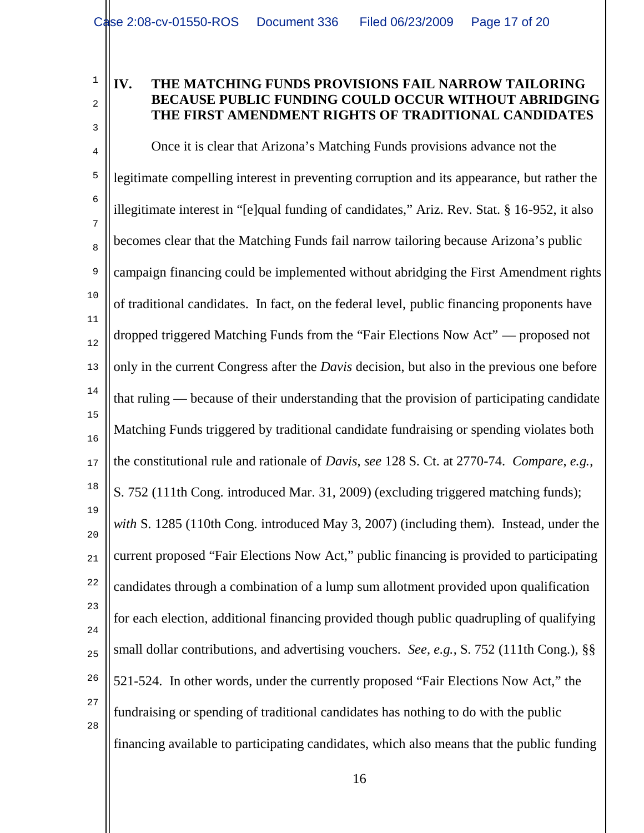# 1 2

3

## **IV. THE MATCHING FUNDS PROVISIONS FAIL NARROW TAILORING BECAUSE PUBLIC FUNDING COULD OCCUR WITHOUT ABRIDGING THE FIRST AMENDMENT RIGHTS OF TRADITIONAL CANDIDATES**

4 5 6 7 8 9 10 11 12 13 14 15 16 17 18 19 20 21 22 23 24 25 26 27 28 Once it is clear that Arizona's Matching Funds provisions advance not the legitimate compelling interest in preventing corruption and its appearance, but rather the illegitimate interest in "[e]qual funding of candidates," Ariz. Rev. Stat. § 16-952, it also becomes clear that the Matching Funds fail narrow tailoring because Arizona's public campaign financing could be implemented without abridging the First Amendment rights of traditional candidates. In fact, on the federal level, public financing proponents have dropped triggered Matching Funds from the "Fair Elections Now Act" — proposed not only in the current Congress after the *Davis* decision, but also in the previous one before that ruling — because of their understanding that the provision of participating candidate Matching Funds triggered by traditional candidate fundraising or spending violates both the constitutional rule and rationale of *Davis*, *see* 128 S. Ct. at 2770-74. *Compare*, *e.g.*, S. 752 (111th Cong. introduced Mar. 31, 2009) (excluding triggered matching funds); *with* S. 1285 (110th Cong. introduced May 3, 2007) (including them). Instead, under the current proposed "Fair Elections Now Act," public financing is provided to participating candidates through a combination of a lump sum allotment provided upon qualification for each election, additional financing provided though public quadrupling of qualifying small dollar contributions, and advertising vouchers. *See*, *e.g.*, S. 752 (111th Cong.), §§ 521-524. In other words, under the currently proposed "Fair Elections Now Act," the fundraising or spending of traditional candidates has nothing to do with the public financing available to participating candidates, which also means that the public funding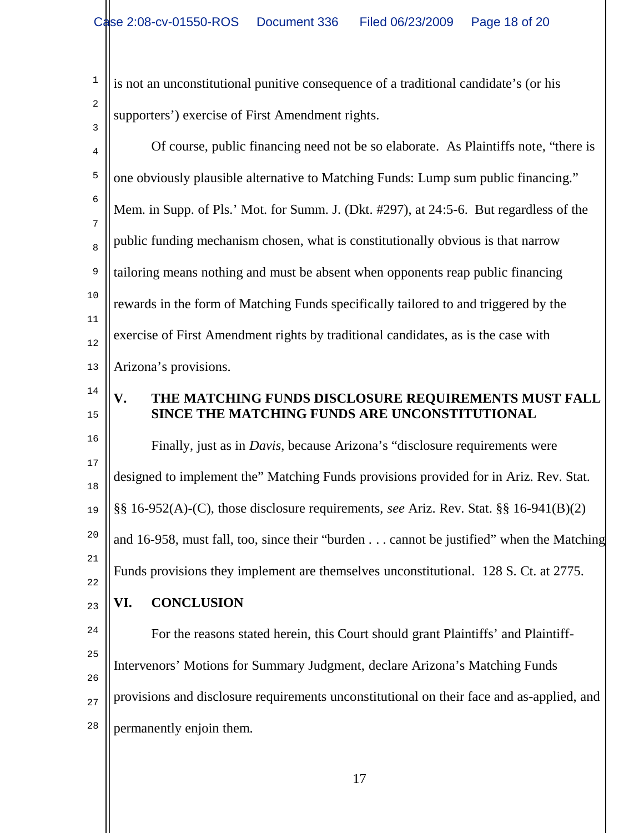1 2 3 is not an unconstitutional punitive consequence of a traditional candidate's (or his supporters') exercise of First Amendment rights.

| 4                   | Of course, public financing need not be so elaborate. As Plaintiffs note, "there is            |
|---------------------|------------------------------------------------------------------------------------------------|
| 5                   | one obviously plausible alternative to Matching Funds: Lump sum public financing."             |
| 6                   | Mem. in Supp. of Pls.' Mot. for Summ. J. (Dkt. #297), at 24:5-6. But regardless of the         |
| $\overline{7}$<br>8 | public funding mechanism chosen, what is constitutionally obvious is that narrow               |
| 9                   | tailoring means nothing and must be absent when opponents reap public financing                |
| 10                  | rewards in the form of Matching Funds specifically tailored to and triggered by the            |
| 11<br>12            | exercise of First Amendment rights by traditional candidates, as is the case with              |
| 13                  | Arizona's provisions.                                                                          |
| 14                  | THE MATCHING FUNDS DISCLOSURE REQUIREMENTS MUST FALL<br>V.                                     |
| 15                  | SINCE THE MATCHING FUNDS ARE UNCONSTITUTIONAL                                                  |
| 16                  | Finally, just as in <i>Davis</i> , because Arizona's "disclosure requirements were             |
| 17<br>18            | designed to implement the" Matching Funds provisions provided for in Ariz. Rev. Stat.          |
| 19                  | $\S\S 16-952(A)-(C)$ , those disclosure requirements, see Ariz. Rev. Stat. $\S\S 16-941(B)(2)$ |
| 20                  | and 16-958, must fall, too, since their "burden cannot be justified" when the Matching         |
| 21<br>22            | Funds provisions they implement are themselves unconstitutional. 128 S. Ct. at 2775.           |
| 23                  | <b>CONCLUSION</b><br>VI.                                                                       |
| 24                  | For the reasons stated herein, this Court should grant Plaintiffs' and Plaintiff-              |
| 25                  | Intervenors' Motions for Summary Judgment, declare Arizona's Matching Funds                    |
| 26                  | provisions and disclosure requirements unconstitutional on their face and as-applied, and      |
| 27                  |                                                                                                |
| 28                  | permanently enjoin them.                                                                       |
|                     |                                                                                                |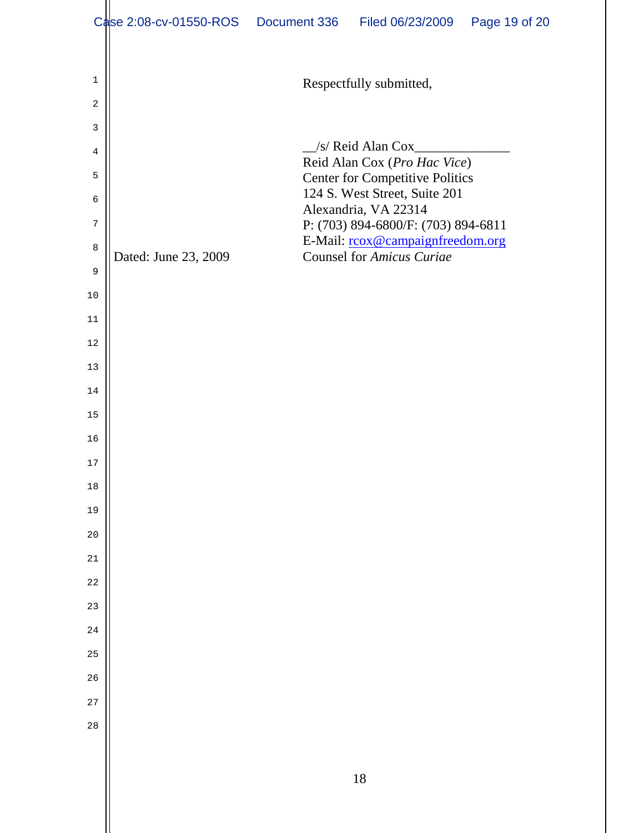|              | Case 2:08-cv-01550-ROS | Document 336 | Filed 06/23/2009                                                     | Page 19 of 20 |
|--------------|------------------------|--------------|----------------------------------------------------------------------|---------------|
|              |                        |              |                                                                      |               |
| $\mathbf{1}$ |                        |              | Respectfully submitted,                                              |               |
| 2            |                        |              |                                                                      |               |
| 3            |                        |              |                                                                      |               |
| 4            |                        |              | /s/ Reid Alan Cox<br>Reid Alan Cox (Pro Hac Vice)                    |               |
| 5            |                        |              | <b>Center for Competitive Politics</b>                               |               |
| 6            |                        |              | 124 S. West Street, Suite 201<br>Alexandria, VA 22314                |               |
| 7            |                        |              | P: (703) 894-6800/F: (703) 894-6811                                  |               |
| $\,8\,$      | Dated: June 23, 2009   |              | E-Mail: rcox@campaignfreedom.org<br><b>Counsel for Amicus Curiae</b> |               |
| 9            |                        |              |                                                                      |               |
| 10           |                        |              |                                                                      |               |
| 11           |                        |              |                                                                      |               |
| 12           |                        |              |                                                                      |               |
| 13           |                        |              |                                                                      |               |
| 14           |                        |              |                                                                      |               |
| 15           |                        |              |                                                                      |               |
| 16           |                        |              |                                                                      |               |
| 17           |                        |              |                                                                      |               |
| $18\,$       |                        |              |                                                                      |               |
| 19           |                        |              |                                                                      |               |
| 20           |                        |              |                                                                      |               |
| 21           |                        |              |                                                                      |               |
| 22           |                        |              |                                                                      |               |
| 23           |                        |              |                                                                      |               |
| 24           |                        |              |                                                                      |               |
| 25           |                        |              |                                                                      |               |
| 26           |                        |              |                                                                      |               |
| 27           |                        |              |                                                                      |               |
| 28           |                        |              |                                                                      |               |
|              |                        |              |                                                                      |               |
|              |                        |              | 18                                                                   |               |